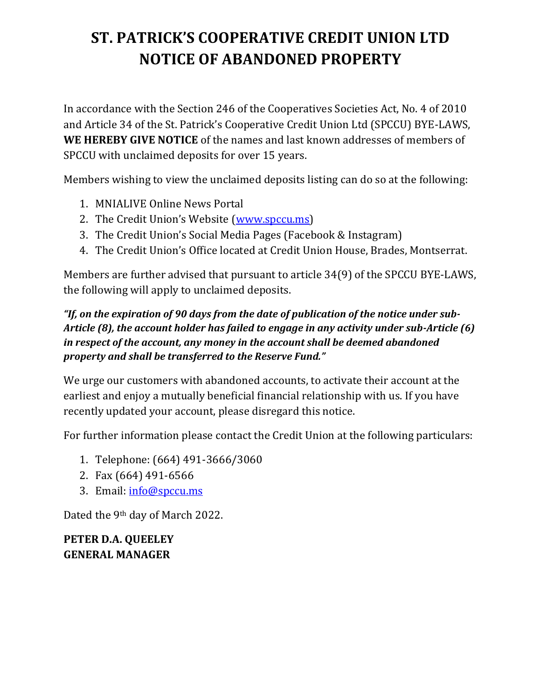# **ST. PATRICK'S COOPERATIVE CREDIT UNION LTD NOTICE OF ABANDONED PROPERTY**

In accordance with the Section 246 of the Cooperatives Societies Act, No. 4 of 2010 and Article 34 of the St. Patrick's Cooperative Credit Union Ltd (SPCCU) BYE-LAWS, **WE HEREBY GIVE NOTICE** of the names and last known addresses of members of SPCCU with unclaimed deposits for over 15 years.

Members wishing to view the unclaimed deposits listing can do so at the following:

- 1. MNIALIVE Online News Portal
- 2. The Credit Union's Website [\(www.spccu.ms\)](http://www.spccu.ms/)
- 3. The Credit Union's Social Media Pages (Facebook & Instagram)
- 4. The Credit Union's Office located at Credit Union House, Brades, Montserrat.

Members are further advised that pursuant to article 34(9) of the SPCCU BYE-LAWS, the following will apply to unclaimed deposits.

### *"If, on the expiration of 90 days from the date of publication of the notice under sub-Article (8), the account holder has failed to engage in any activity under sub-Article (6) in respect of the account, any money in the account shall be deemed abandoned property and shall be transferred to the Reserve Fund."*

We urge our customers with abandoned accounts, to activate their account at the earliest and enjoy a mutually beneficial financial relationship with us. If you have recently updated your account, please disregard this notice.

For further information please contact the Credit Union at the following particulars:

- 1. Telephone: (664) 491-3666/3060
- 2. Fax (664) 491-6566
- 3. Email: [info@spccu.ms](mailto:info@spccu.ms)

Dated the 9th day of March 2022.

**PETER D.A. QUEELEY GENERAL MANAGER**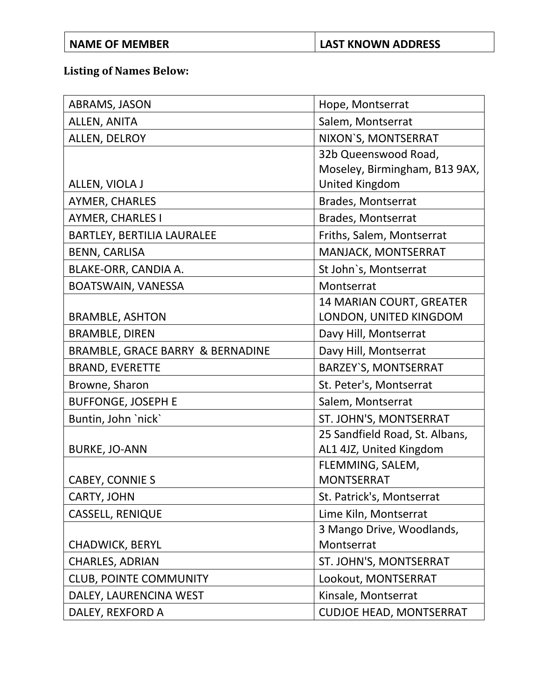## **NAME OF MEMBER LAST KNOWN ADDRESS**

## **Listing of Names Below:**

| ABRAMS, JASON                     | Hope, Montserrat               |
|-----------------------------------|--------------------------------|
| ALLEN, ANITA                      | Salem, Montserrat              |
| ALLEN, DELROY                     | NIXON'S, MONTSERRAT            |
|                                   | 32b Queenswood Road,           |
|                                   | Moseley, Birmingham, B13 9AX,  |
| ALLEN, VIOLA J                    | <b>United Kingdom</b>          |
| AYMER, CHARLES                    | Brades, Montserrat             |
| <b>AYMER, CHARLES I</b>           | Brades, Montserrat             |
| <b>BARTLEY, BERTILIA LAURALEE</b> | Friths, Salem, Montserrat      |
| <b>BENN, CARLISA</b>              | MANJACK, MONTSERRAT            |
| BLAKE-ORR, CANDIA A.              | St John's, Montserrat          |
| BOATSWAIN, VANESSA                | Montserrat                     |
|                                   | 14 MARIAN COURT, GREATER       |
| <b>BRAMBLE, ASHTON</b>            | LONDON, UNITED KINGDOM         |
| <b>BRAMBLE, DIREN</b>             | Davy Hill, Montserrat          |
| BRAMBLE, GRACE BARRY & BERNADINE  | Davy Hill, Montserrat          |
| <b>BRAND, EVERETTE</b>            | <b>BARZEY'S, MONTSERRAT</b>    |
| Browne, Sharon                    | St. Peter's, Montserrat        |
| <b>BUFFONGE, JOSEPH E</b>         | Salem, Montserrat              |
| Buntin, John 'nick'               | ST. JOHN'S, MONTSERRAT         |
|                                   | 25 Sandfield Road, St. Albans, |
| <b>BURKE, JO-ANN</b>              | AL1 4JZ, United Kingdom        |
|                                   | FLEMMING, SALEM,               |
| CABEY, CONNIE S                   | <b>MONTSERRAT</b>              |
| CARTY, JOHN                       | St. Patrick's, Montserrat      |
| <b>CASSELL, RENIQUE</b>           | Lime Kiln, Montserrat          |
|                                   | 3 Mango Drive, Woodlands,      |
| <b>CHADWICK, BERYL</b>            | Montserrat                     |
| <b>CHARLES, ADRIAN</b>            | ST. JOHN'S, MONTSERRAT         |
| <b>CLUB, POINTE COMMUNITY</b>     | Lookout, MONTSERRAT            |
| DALEY, LAURENCINA WEST            | Kinsale, Montserrat            |
| DALEY, REXFORD A                  | <b>CUDJOE HEAD, MONTSERRAT</b> |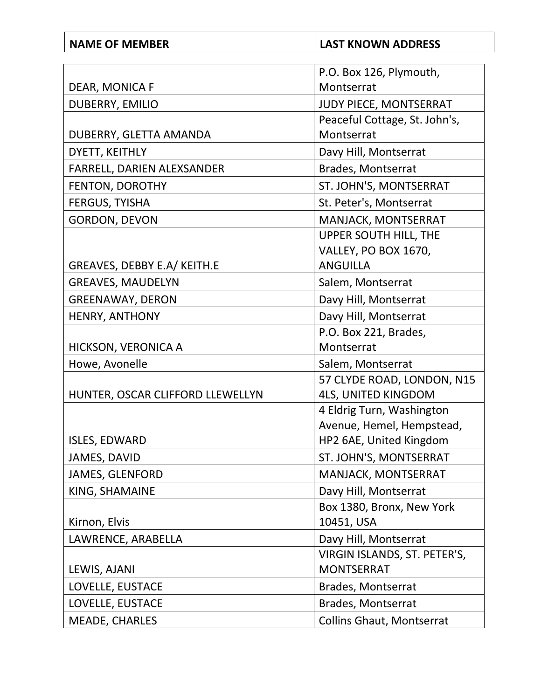| <b>NAME OF MEMBER</b>            | <b>LAST KNOWN ADDRESS</b>                               |
|----------------------------------|---------------------------------------------------------|
|                                  |                                                         |
| DEAR, MONICA F                   | P.O. Box 126, Plymouth,<br>Montserrat                   |
|                                  |                                                         |
| <b>DUBERRY, EMILIO</b>           | JUDY PIECE, MONTSERRAT<br>Peaceful Cottage, St. John's, |
| DUBERRY, GLETTA AMANDA           | Montserrat                                              |
| DYETT, KEITHLY                   | Davy Hill, Montserrat                                   |
| FARRELL, DARIEN ALEXSANDER       | Brades, Montserrat                                      |
| FENTON, DOROTHY                  | ST. JOHN'S, MONTSERRAT                                  |
|                                  |                                                         |
| <b>FERGUS, TYISHA</b>            | St. Peter's, Montserrat                                 |
| <b>GORDON, DEVON</b>             | MANJACK, MONTSERRAT<br>UPPER SOUTH HILL, THE            |
|                                  | VALLEY, PO BOX 1670,                                    |
| GREAVES, DEBBY E.A/ KEITH.E      | <b>ANGUILLA</b>                                         |
| <b>GREAVES, MAUDELYN</b>         | Salem, Montserrat                                       |
| <b>GREENAWAY, DERON</b>          | Davy Hill, Montserrat                                   |
| <b>HENRY, ANTHONY</b>            | Davy Hill, Montserrat                                   |
|                                  | P.O. Box 221, Brades,                                   |
| HICKSON, VERONICA A              | Montserrat                                              |
| Howe, Avonelle                   | Salem, Montserrat                                       |
|                                  | 57 CLYDE ROAD, LONDON, N15                              |
| HUNTER, OSCAR CLIFFORD LLEWELLYN | <b>4LS, UNITED KINGDOM</b>                              |
|                                  | 4 Eldrig Turn, Washington                               |
|                                  | Avenue, Hemel, Hempstead,                               |
| ISLES, EDWARD                    | HP2 6AE, United Kingdom                                 |
| JAMES, DAVID                     | ST. JOHN'S, MONTSERRAT                                  |
| JAMES, GLENFORD                  | MANJACK, MONTSERRAT                                     |
| KING, SHAMAINE                   | Davy Hill, Montserrat                                   |
|                                  | Box 1380, Bronx, New York                               |
| Kirnon, Elvis                    | 10451, USA                                              |
| LAWRENCE, ARABELLA               | Davy Hill, Montserrat                                   |
|                                  | VIRGIN ISLANDS, ST. PETER'S,                            |
| LEWIS, AJANI                     | <b>MONTSERRAT</b>                                       |
| LOVELLE, EUSTACE                 | Brades, Montserrat                                      |
| LOVELLE, EUSTACE                 | Brades, Montserrat                                      |
| <b>MEADE, CHARLES</b>            | <b>Collins Ghaut, Montserrat</b>                        |